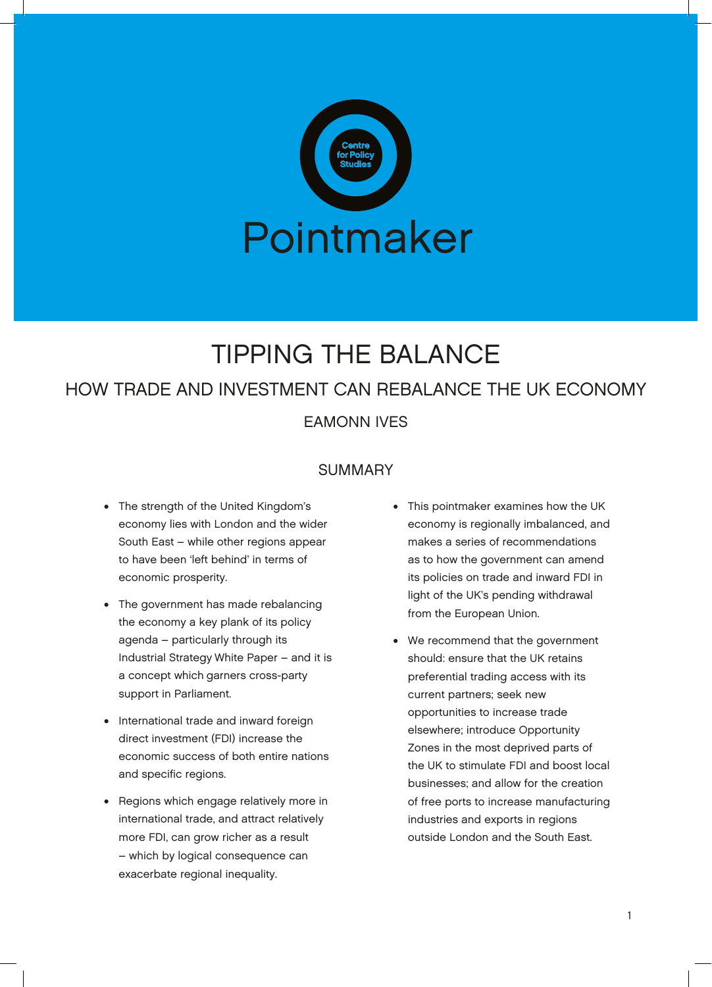

# TIPPING THE BALANCE

# HOW TRADE AND INVESTMENT CAN REBALANCE THE UK ECONOMY

EAMONN IVES

# SUMMARY

- The strength of the United Kingdom's economy lies with London and the wider South East – while other regions appear to have been 'left behind' in terms of economic prosperity.
- The government has made rebalancing the economy a key plank of its policy agenda – particularly through its Industrial Strategy White Paper – and it is a concept which garners cross-party support in Parliament.
- International trade and inward foreign direct investment (FDI) increase the economic success of both entire nations and specific regions.
- Regions which engage relatively more in international trade, and attract relatively more FDI, can grow richer as a result – which by logical consequence can exacerbate regional inequality.
- This pointmaker examines how the UK economy is regionally imbalanced, and makes a series of recommendations as to how the government can amend its policies on trade and inward FDI in light of the UK's pending withdrawal from the European Union.
- We recommend that the government should: ensure that the UK retains preferential trading access with its current partners; seek new opportunities to increase trade elsewhere; introduce Opportunity Zones in the most deprived parts of the UK to stimulate FDI and boost local businesses; and allow for the creation of free ports to increase manufacturing industries and exports in regions outside London and the South East.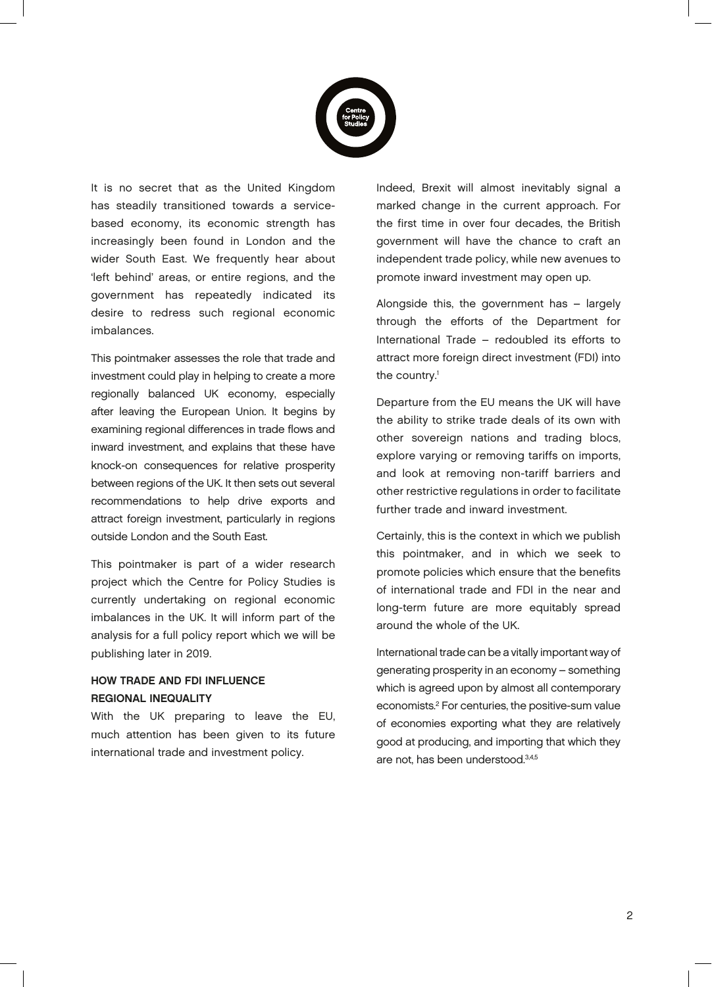

It is no secret that as the United Kingdom has steadily transitioned towards a servicebased economy, its economic strength has increasingly been found in London and the wider South East. We frequently hear about 'left behind' areas, or entire regions, and the government has repeatedly indicated its desire to redress such regional economic imbalances.

This pointmaker assesses the role that trade and investment could play in helping to create a more regionally balanced UK economy, especially after leaving the European Union. It begins by examining regional differences in trade flows and inward investment, and explains that these have knock-on consequences for relative prosperity between regions of the UK. It then sets out several recommendations to help drive exports and attract foreign investment, particularly in regions outside London and the South East.

This pointmaker is part of a wider research project which the Centre for Policy Studies is currently undertaking on regional economic imbalances in the UK. It will inform part of the analysis for a full policy report which we will be publishing later in 2019.

### HOW TRADE AND FDI INFLUENCE REGIONAL INEQUALITY

With the UK preparing to leave the EU, much attention has been given to its future international trade and investment policy.

Indeed, Brexit will almost inevitably signal a marked change in the current approach. For the first time in over four decades, the British government will have the chance to craft an independent trade policy, while new avenues to promote inward investment may open up.

Alongside this, the government has – largely through the efforts of the Department for International Trade – redoubled its efforts to attract more foreign direct investment (FDI) into the country.<sup>1</sup>

Departure from the EU means the UK will have the ability to strike trade deals of its own with other sovereign nations and trading blocs, explore varying or removing tariffs on imports, and look at removing non-tariff barriers and other restrictive regulations in order to facilitate further trade and inward investment.

Certainly, this is the context in which we publish this pointmaker, and in which we seek to promote policies which ensure that the benefits of international trade and FDI in the near and long-term future are more equitably spread around the whole of the UK.

International trade can be a vitally important way of generating prosperity in an economy – something which is agreed upon by almost all contemporary economists.2 For centuries, the positive-sum value of economies exporting what they are relatively good at producing, and importing that which they are not, has been understood.3,4,5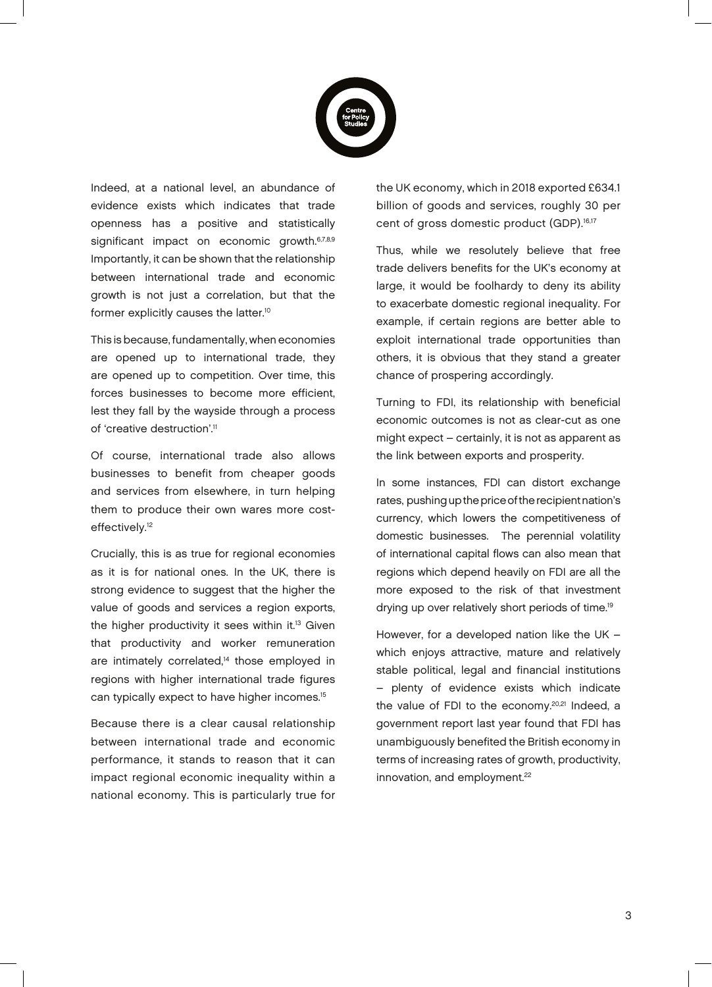

Indeed, at a national level, an abundance of evidence exists which indicates that trade openness has a positive and statistically significant impact on economic growth.<sup>6,7,8,9</sup> Importantly, it can be shown that the relationship between international trade and economic growth is not just a correlation, but that the former explicitly causes the latter.10

This is because, fundamentally, when economies are opened up to international trade, they are opened up to competition. Over time, this forces businesses to become more efficient, lest they fall by the wayside through a process of 'creative destruction'.<sup>11</sup>

Of course, international trade also allows businesses to benefit from cheaper goods and services from elsewhere, in turn helping them to produce their own wares more costeffectively.<sup>12</sup>

Crucially, this is as true for regional economies as it is for national ones. In the UK, there is strong evidence to suggest that the higher the value of goods and services a region exports, the higher productivity it sees within it.<sup>13</sup> Given that productivity and worker remuneration are intimately correlated,<sup>14</sup> those employed in regions with higher international trade figures can typically expect to have higher incomes.15

Because there is a clear causal relationship between international trade and economic performance, it stands to reason that it can impact regional economic inequality within a national economy. This is particularly true for the UK economy, which in 2018 exported £634.1 billion of goods and services, roughly 30 per cent of gross domestic product (GDP).<sup>16,17</sup>

Thus, while we resolutely believe that free trade delivers benefits for the UK's economy at large, it would be foolhardy to deny its ability to exacerbate domestic regional inequality. For example, if certain regions are better able to exploit international trade opportunities than others, it is obvious that they stand a greater chance of prospering accordingly.

Turning to FDI, its relationship with beneficial economic outcomes is not as clear-cut as one might expect – certainly, it is not as apparent as the link between exports and prosperity.

In some instances, FDI can distort exchange rates, pushing up the price of the recipient nation's currency, which lowers the competitiveness of domestic businesses. The perennial volatility of international capital flows can also mean that regions which depend heavily on FDI are all the more exposed to the risk of that investment drying up over relatively short periods of time.<sup>19</sup>

However, for a developed nation like the UK – which enjoys attractive, mature and relatively stable political, legal and financial institutions – plenty of evidence exists which indicate the value of FDI to the economy.<sup>20,21</sup> Indeed, a government report last year found that FDI has unambiguously benefited the British economy in terms of increasing rates of growth, productivity, innovation, and employment.<sup>22</sup>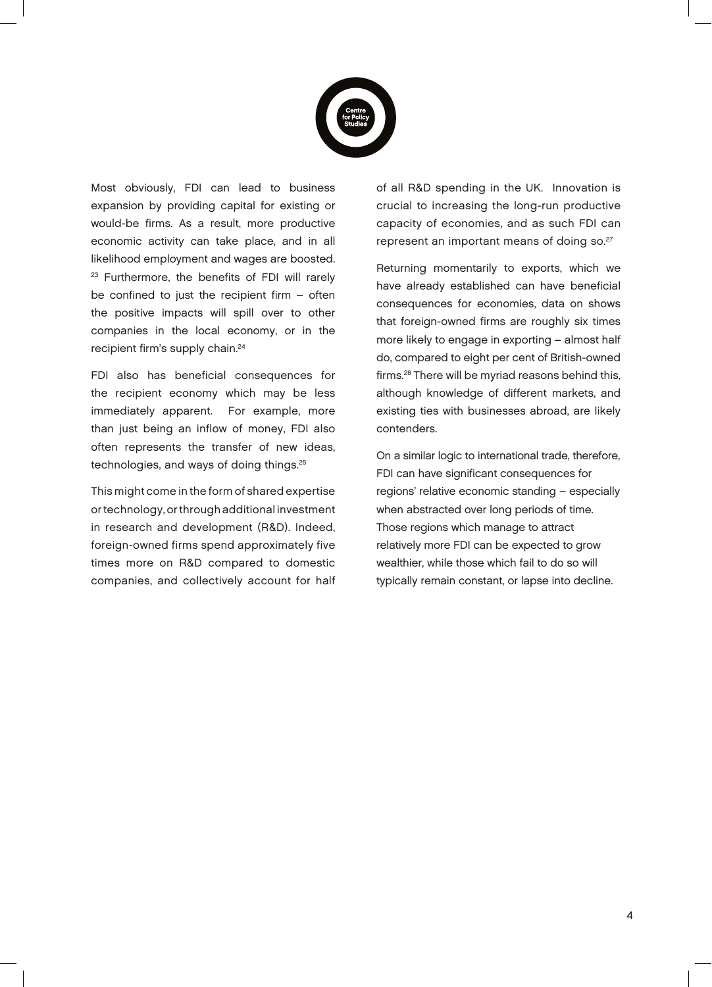

Most obviously, FDI can lead to business expansion by providing capital for existing or would-be firms. As a result, more productive economic activity can take place, and in all likelihood employment and wages are boosted. <sup>23</sup> Furthermore, the benefits of FDI will rarely be confined to just the recipient firm – often the positive impacts will spill over to other companies in the local economy, or in the recipient firm's supply chain.<sup>24</sup>

FDI also has beneficial consequences for the recipient economy which may be less immediately apparent. For example, more than just being an inflow of money, FDI also often represents the transfer of new ideas, technologies, and ways of doing things.<sup>25</sup>

This might come in the form of shared expertise or technology, or through additional investment in research and development (R&D). Indeed, foreign-owned firms spend approximately five times more on R&D compared to domestic companies, and collectively account for half of all R&D spending in the UK. Innovation is crucial to increasing the long-run productive capacity of economies, and as such FDI can represent an important means of doing so.<sup>27</sup>

Returning momentarily to exports, which we have already established can have beneficial consequences for economies, data on shows that foreign-owned firms are roughly six times more likely to engage in exporting – almost half do, compared to eight per cent of British-owned firms.28 There will be myriad reasons behind this, although knowledge of different markets, and existing ties with businesses abroad, are likely contenders.

On a similar logic to international trade, therefore, FDI can have significant consequences for regions' relative economic standing – especially when abstracted over long periods of time. Those regions which manage to attract relatively more FDI can be expected to grow wealthier, while those which fail to do so will typically remain constant, or lapse into decline.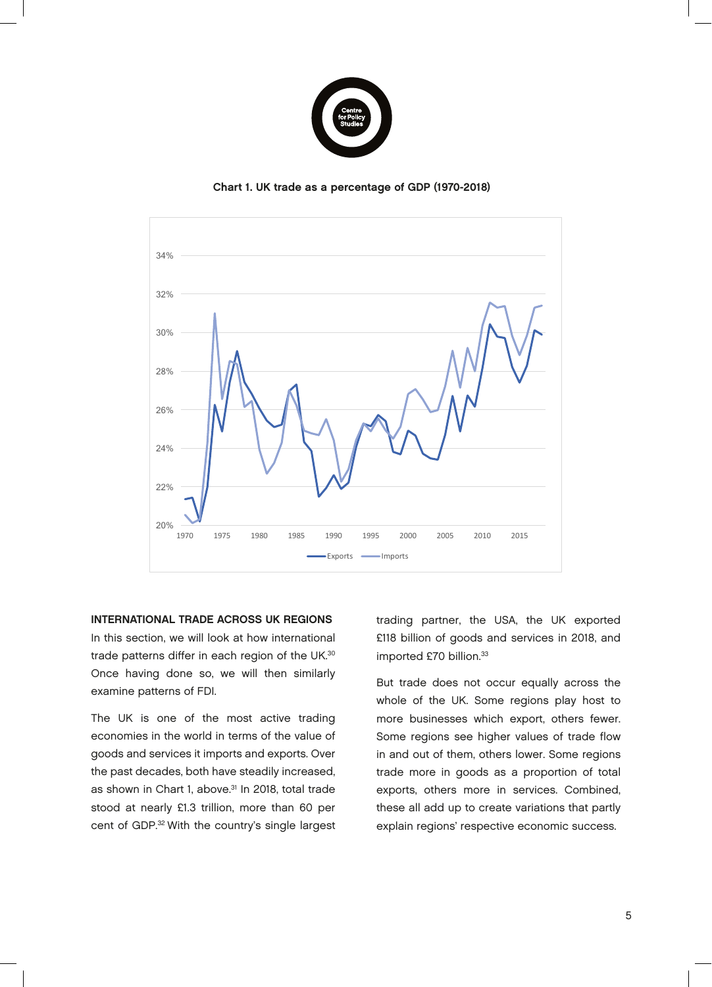

Chart 1. UK trade as a percentage of GDP (1970-2018)



INTERNATIONAL TRADE ACROSS UK REGIONS In this section, we will look at how international trade patterns differ in each region of the UK.<sup>30</sup> Once having done so, we will then similarly examine patterns of FDI.

The UK is one of the most active trading economies in the world in terms of the value of goods and services it imports and exports. Over the past decades, both have steadily increased, as shown in Chart 1, above.<sup>31</sup> In 2018, total trade stood at nearly £1.3 trillion, more than 60 per cent of GDP.32 With the country's single largest

trading partner, the USA, the UK exported £118 billion of goods and services in 2018, and imported £70 billion.33

But trade does not occur equally across the whole of the UK. Some regions play host to more businesses which export, others fewer. Some regions see higher values of trade flow in and out of them, others lower. Some regions trade more in goods as a proportion of total exports, others more in services. Combined, these all add up to create variations that partly explain regions' respective economic success.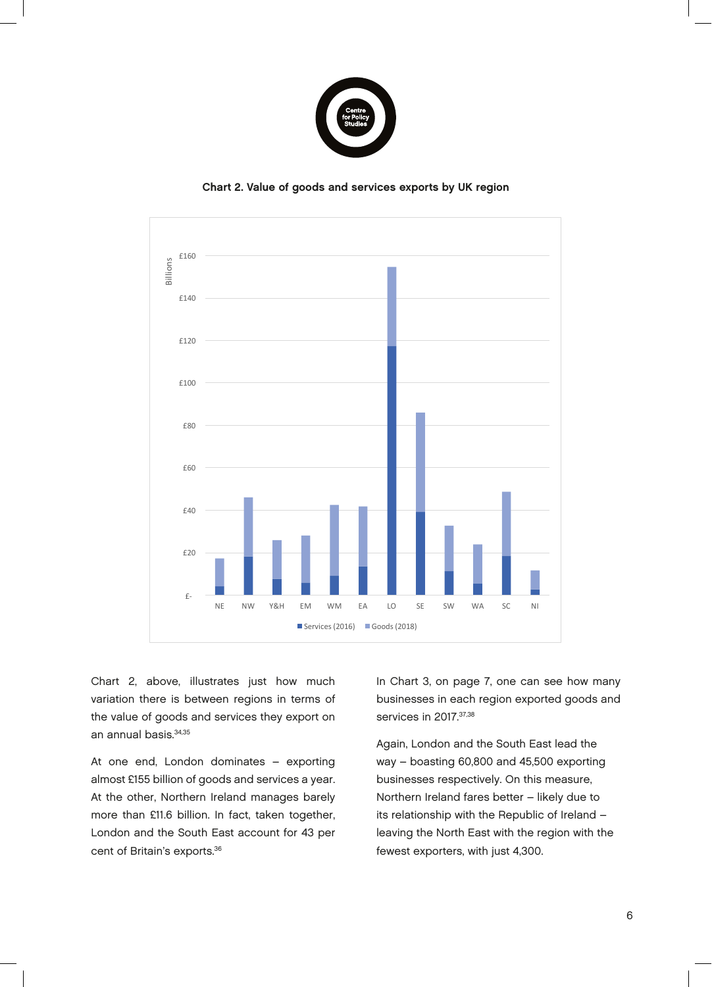

Chart 2. Value of goods and services exports by UK region 2018, total trade stood at nearly £1.3 trillion, Chart 2. Value of goods an these  $\alpha$  and  $\alpha$  are at the set of  $\alpha$  $r$ ices exports by UK region $r$ 



Chart 2, above, illustrates just how much variation there is between regions in terms of the value of goods and services they export on an annual basis.34,35

At one end, London dominates – exporting almost £155 billion of goods and services a year. At the other, Northern Ireland manages barely more than £11.6 billion. In fact, taken together, London and the South East account for 43 per cent of Britain's exports.<sup>36</sup>

5 In Chart 3, on page 7, one can see how many businesses in each region exported goods and services in 2017.<sup>37,38</sup>

Again, London and the South East lead the way – boasting 60,800 and 45,500 exporting businesses respectively. On this measure, Northern Ireland fares better – likely due to its relationship with the Republic of Ireland – leaving the North East with the region with the fewest exporters, with just 4,300.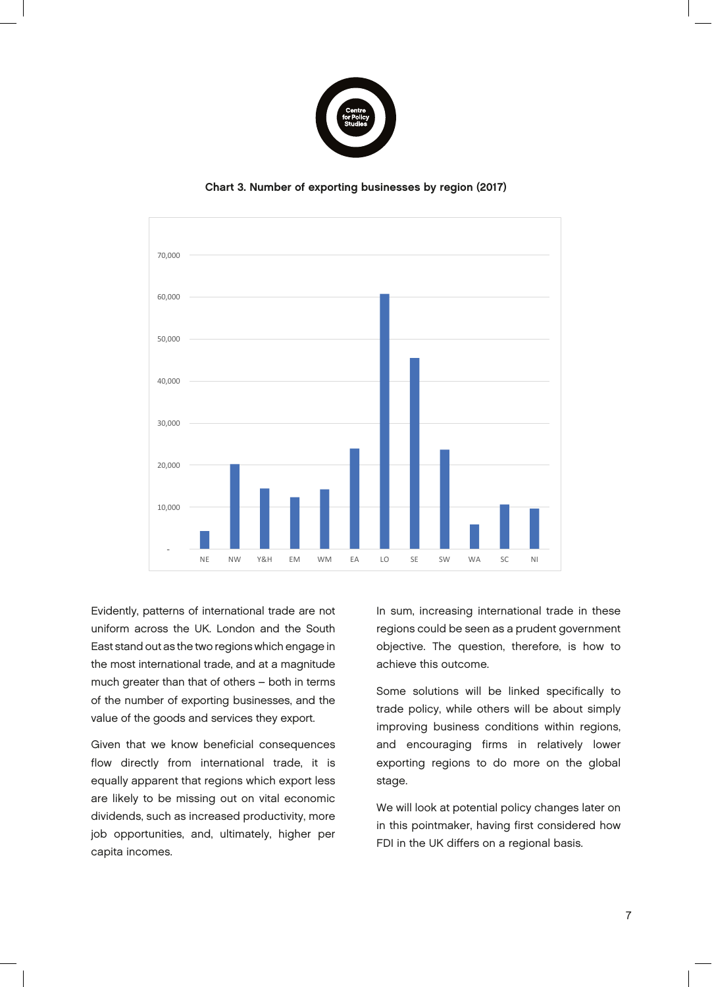

Chart 3. Number of exporting businesses by region (2017)



Evidently, patterns of international trade are not uniform across the UK. London and the South and a magnitude of other contracts of others are  $\alpha$ East stand out as the two regions which engage in the most international trade, and at a magnitude much greater than that of others – both in terms of the number of exporting businesses, and the value of the goods and services they export.

Given that we know beneficial consequences flow directly from international trade, it is equally apparent that regions which export less are likely to be missing out on vital economic dividends, such as increased productivity, more job opportunities, and, ultimately, higher per capita incomes.

In sum, increasing international trade in these regions could be seen as a prudent government economic dividends, objective. The question, therefore, is how to achieve this outcome.

trade policy, while others will be about simply Some solutions will be linked specifically to improving business conditions within regions, and encouraging firms in relatively lower exporting regions to do more on the global stage.

We will look at potential policy changes later on in this pointmaker, having first considered how FDI in the UK differs on a regional basis.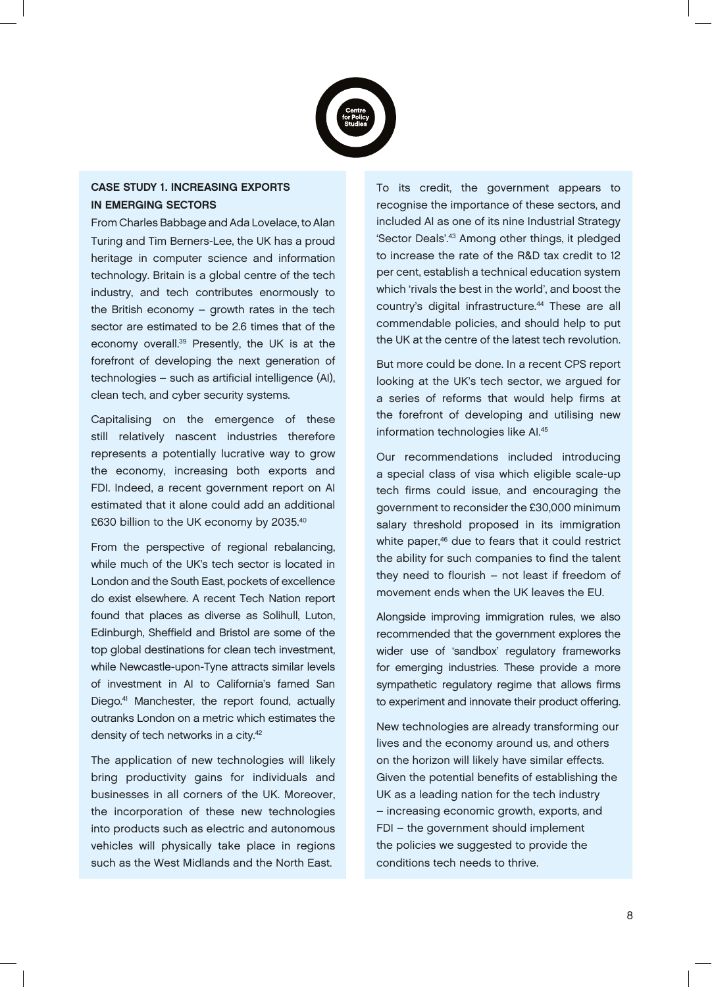

# CASE STUDY 1. INCREASING EXPORTS IN EMERGING SECTORS

From Charles Babbage and Ada Lovelace, to Alan Turing and Tim Berners-Lee, the UK has a proud heritage in computer science and information technology. Britain is a global centre of the tech industry, and tech contributes enormously to the British economy – growth rates in the tech sector are estimated to be 2.6 times that of the economy overall.39 Presently, the UK is at the forefront of developing the next generation of technologies – such as artificial intelligence (AI), clean tech, and cyber security systems.

Capitalising on the emergence of these still relatively nascent industries therefore represents a potentially lucrative way to grow the economy, increasing both exports and FDI. Indeed, a recent government report on AI estimated that it alone could add an additional £630 billion to the UK economy by 2035.40

From the perspective of regional rebalancing, while much of the UK's tech sector is located in London and the South East, pockets of excellence do exist elsewhere. A recent Tech Nation report found that places as diverse as Solihull, Luton, Edinburgh, Sheffield and Bristol are some of the top global destinations for clean tech investment, while Newcastle-upon-Tyne attracts similar levels of investment in AI to California's famed San Diego.41 Manchester, the report found, actually outranks London on a metric which estimates the density of tech networks in a city.<sup>42</sup>

The application of new technologies will likely bring productivity gains for individuals and businesses in all corners of the UK. Moreover, the incorporation of these new technologies into products such as electric and autonomous vehicles will physically take place in regions such as the West Midlands and the North East.

To its credit, the government appears to recognise the importance of these sectors, and included AI as one of its nine Industrial Strategy 'Sector Deals'.43 Among other things, it pledged to increase the rate of the R&D tax credit to 12 per cent, establish a technical education system which 'rivals the best in the world', and boost the country's digital infrastructure.<sup>44</sup> These are all commendable policies, and should help to put the UK at the centre of the latest tech revolution.

But more could be done. In a recent CPS report looking at the UK's tech sector, we argued for a series of reforms that would help firms at the forefront of developing and utilising new information technologies like AI.45

Our recommendations included introducing a special class of visa which eligible scale-up tech firms could issue, and encouraging the government to reconsider the £30,000 minimum salary threshold proposed in its immigration white paper,<sup>46</sup> due to fears that it could restrict the ability for such companies to find the talent they need to flourish – not least if freedom of movement ends when the UK leaves the EU.

Alongside improving immigration rules, we also recommended that the government explores the wider use of 'sandbox' regulatory frameworks for emerging industries. These provide a more sympathetic regulatory regime that allows firms to experiment and innovate their product offering.

New technologies are already transforming our lives and the economy around us, and others on the horizon will likely have similar effects. Given the potential benefits of establishing the UK as a leading nation for the tech industry – increasing economic growth, exports, and FDI – the government should implement the policies we suggested to provide the conditions tech needs to thrive.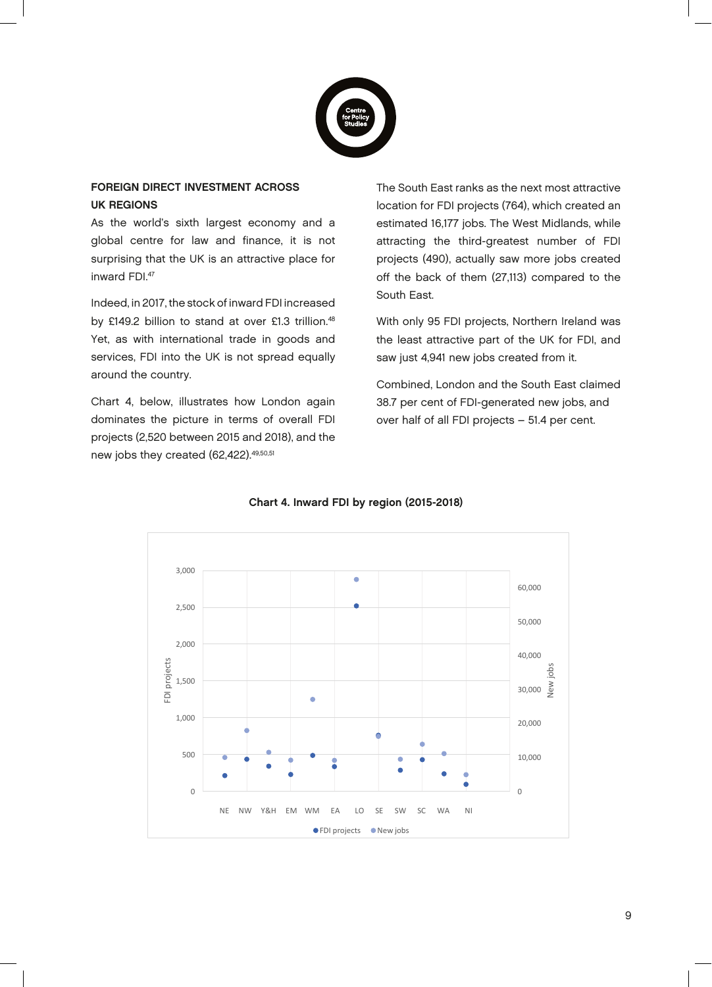

#### FOREIGN DIRECT INVESTMENT ACROSS UK REGIONS provides a more controlled to the controlled of the controlled to the control of the control of the control of<br>The control of the control of the control of the control of the control of the control of the control of the c  $\mathbf{G}$  $p_{\rm s}$  and  $p_{\rm s}$  are given by  $p_{\rm s}$  and  $p_{\rm s}$  are given by  $p_{\rm s}$

As the world's sixth largest economy and a global centre for law and finance, it is not surprising that the UK is an attractive place for inward FDI.47  $\overline{47}$ their products of the second second second second second second second second second second second second second second second second second second second second second second second second second second second second seco our lives of the conomy of the conomy of the conomy of the conomy of the conomy of the conomy of the conomy of<br>The conomy of the conomy of the conomy of the conomy of the conomy of the conomy of the conomy of the conomy of others on the horizon  $\mathcal{L}$  is a similar will be a similar will be a similar will be a similar will be a similar will be a similar will be a similar will be a similar will be a similar will be a similar will be a simil

Indeed, in 2017, the stock of inward FDI increased by £149.2 billion to stand at over £1.3 trillion.<sup>48</sup> W Yet, as with international trade in goods and services, FDI into the UK is not spread equally around the country. n international trade in goods and country.

Chart 4, below, illustrates how London again dominates the picture in terms of overall FDI projects (2,520 between 2015 and 2018), and the  $\,$ new jobs they created (62,422). $^{49,50,51}$ elow, illustrates how London again  $\sigma$  between both and both, and the ey created (b2,422). الدين بن المستق

The South East ranks as the next most attractive location for FDI projects (764), which created an estimated 16,177 jobs. The West Midlands, while attracting the third-greatest number of FDI projects (490), actually saw more jobs created off the back of them (27,113) compared to the South East. effects. The potential benefits of the potential benefits of the potential benefits of the potential benefits of the potential benefits of the potential benefits of the potential benefits of the potential benefits of the p location for FDI projects (764), which c implement we have the policies of the policies of the policies of the policies of the policies of the policies projects (490), actually saw more job attracting the trinu-greatest number

With only 95 FDI projects, Northern Ireland was the least attractive part of the UK for FDI, and saw just 4,941 new jobs created from it. the least attractive part of the UK for

Combined, London and the South East claimed 38.7 per cent of FDI-generated new jobs, and over half of all FDI projects  $-51.4$  per cent. Combined, London and the South Eas per per cent of the generated hen jo over hair or all  $FDI$  projects  $-5$ 



#### Chart 4. Inward FDI by region (2015-2018)  $\mathbf{a}$   $\mathbf{b}$  =  $\mathbf{a}$   $\mathbf{b}$   $\mathbf{c}$   $\mathbf{a}$   $\mathbf{b}$  =  $\mathbf{a}$   $\mathbf{b}$  =  $\mathbf{a}$   $\mathbf{b}$  =  $\mathbf{b}$  =  $\mathbf{b}$  =  $\mathbf{b}$  =  $\mathbf{b}$  =  $\mathbf{b}$  =  $\mathbf{b}$  =  $\mathbf{b}$  =  $\mathbf{b}$  =  $\mathbf{b}$  =  $\mathbf{b}$  =  $\mathbf$ Chart 4. Inward FDI by region (2015-2018) Combined, London and the South East claimed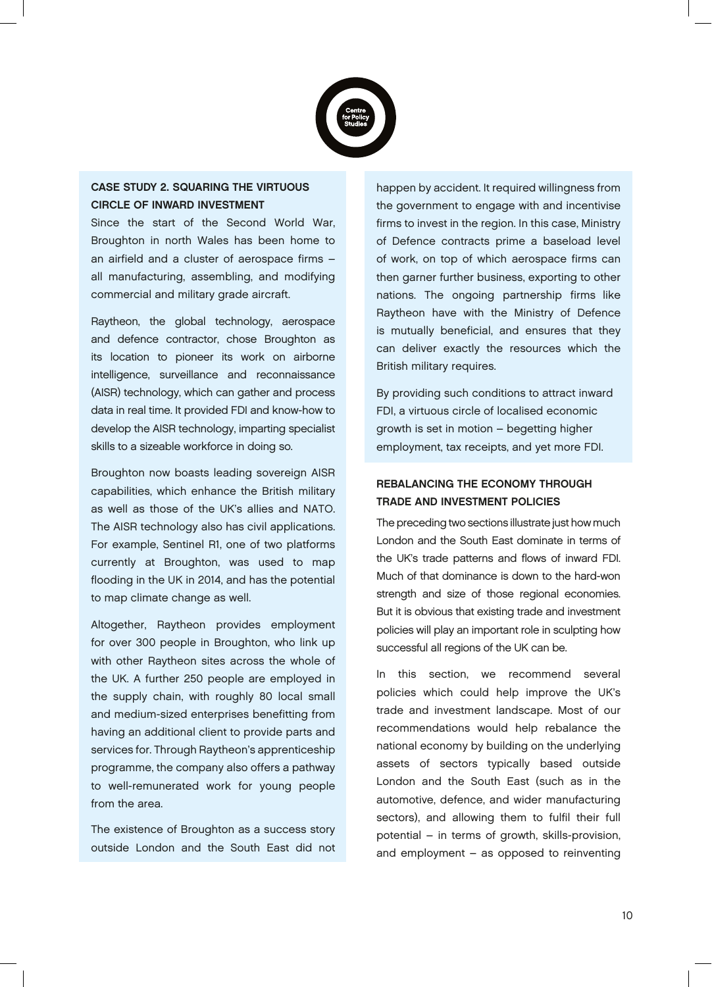

# CASE STUDY 2. SQUARING THE VIRTUOUS CIRCLE OF INWARD INVESTMENT

Since the start of the Second World War, Broughton in north Wales has been home to an airfield and a cluster of aerospace firms – all manufacturing, assembling, and modifying commercial and military grade aircraft.

Raytheon, the global technology, aerospace and defence contractor, chose Broughton as its location to pioneer its work on airborne intelligence, surveillance and reconnaissance (AISR) technology, which can gather and process data in real time. It provided FDI and know-how to develop the AISR technology, imparting specialist skills to a sizeable workforce in doing so.

Broughton now boasts leading sovereign AISR capabilities, which enhance the British military as well as those of the UK's allies and NATO. The AISR technology also has civil applications. For example, Sentinel R1, one of two platforms currently at Broughton, was used to map flooding in the UK in 2014, and has the potential to map climate change as well.

Altogether, Raytheon provides employment for over 300 people in Broughton, who link up with other Raytheon sites across the whole of the UK. A further 250 people are employed in the supply chain, with roughly 80 local small and medium-sized enterprises benefitting from having an additional client to provide parts and services for. Through Raytheon's apprenticeship programme, the company also offers a pathway to well-remunerated work for young people from the area.

The existence of Broughton as a success story outside London and the South East did not happen by accident. It required willingness from the government to engage with and incentivise firms to invest in the region. In this case, Ministry of Defence contracts prime a baseload level of work, on top of which aerospace firms can then garner further business, exporting to other nations. The ongoing partnership firms like Raytheon have with the Ministry of Defence is mutually beneficial, and ensures that they can deliver exactly the resources which the British military requires.

By providing such conditions to attract inward FDI, a virtuous circle of localised economic growth is set in motion – begetting higher employment, tax receipts, and yet more FDI.

# REBALANCING THE ECONOMY THROUGH TRADE AND INVESTMENT POLICIES

The preceding two sections illustrate just how much London and the South East dominate in terms of the UK's trade patterns and flows of inward FDI. Much of that dominance is down to the hard-won strength and size of those regional economies. But it is obvious that existing trade and investment policies will play an important role in sculpting how successful all regions of the UK can be.

In this section, we recommend several policies which could help improve the UK's trade and investment landscape. Most of our recommendations would help rebalance the national economy by building on the underlying assets of sectors typically based outside London and the South East (such as in the automotive, defence, and wider manufacturing sectors), and allowing them to fulfil their full potential – in terms of growth, skills-provision, and employment – as opposed to reinventing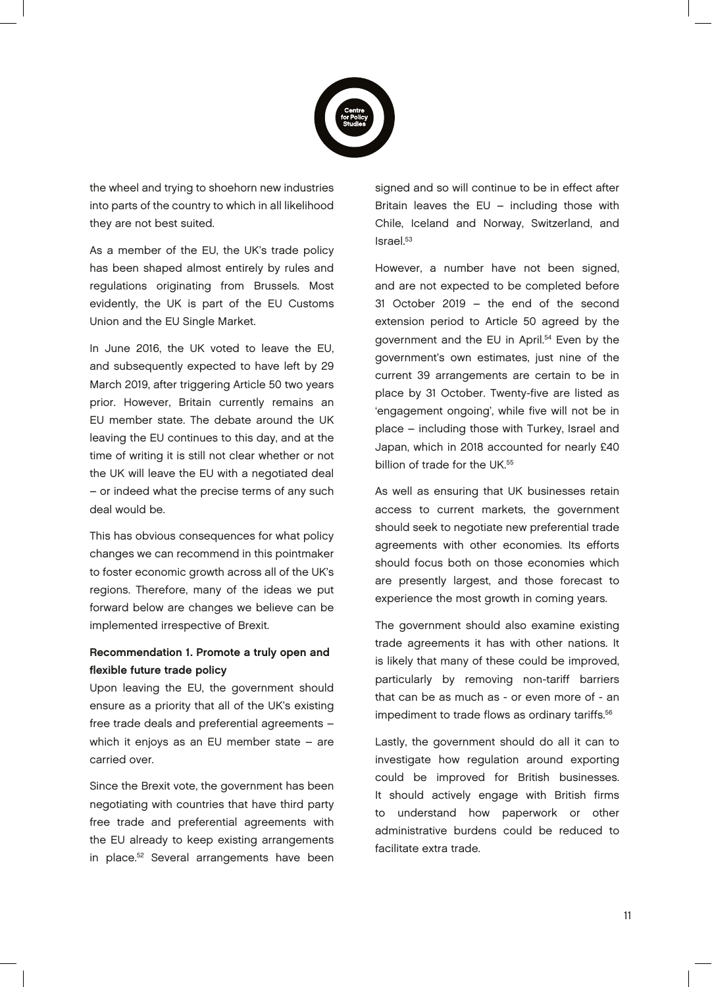

the wheel and trying to shoehorn new industries into parts of the country to which in all likelihood they are not best suited.

As a member of the EU, the UK's trade policy has been shaped almost entirely by rules and regulations originating from Brussels. Most evidently, the UK is part of the EU Customs Union and the EU Single Market.

In June 2016, the UK voted to leave the EU, and subsequently expected to have left by 29 March 2019, after triggering Article 50 two years prior. However, Britain currently remains an EU member state. The debate around the UK leaving the EU continues to this day, and at the time of writing it is still not clear whether or not the UK will leave the EU with a negotiated deal – or indeed what the precise terms of any such deal would be.

This has obvious consequences for what policy changes we can recommend in this pointmaker to foster economic growth across all of the UK's regions. Therefore, many of the ideas we put forward below are changes we believe can be implemented irrespective of Brexit.

## Recommendation 1. Promote a truly open and flexible future trade policy

Upon leaving the EU, the government should ensure as a priority that all of the UK's existing free trade deals and preferential agreements – which it enjoys as an EU member state – are carried over.

Since the Brexit vote, the government has been negotiating with countries that have third party free trade and preferential agreements with the EU already to keep existing arrangements in place.<sup>52</sup> Several arrangements have been

signed and so will continue to be in effect after Britain leaves the EU – including those with Chile, Iceland and Norway, Switzerland, and Israel.53

However, a number have not been signed, and are not expected to be completed before 31 October 2019 – the end of the second extension period to Article 50 agreed by the government and the EU in April.<sup>54</sup> Even by the government's own estimates, just nine of the current 39 arrangements are certain to be in place by 31 October. Twenty-five are listed as 'engagement ongoing', while five will not be in place – including those with Turkey, Israel and Japan, which in 2018 accounted for nearly £40 billion of trade for the UK.<sup>55</sup>

As well as ensuring that UK businesses retain access to current markets, the government should seek to negotiate new preferential trade agreements with other economies. Its efforts should focus both on those economies which are presently largest, and those forecast to experience the most growth in coming years.

The government should also examine existing trade agreements it has with other nations. It is likely that many of these could be improved, particularly by removing non-tariff barriers that can be as much as - or even more of - an impediment to trade flows as ordinary tariffs.<sup>56</sup>

Lastly, the government should do all it can to investigate how regulation around exporting could be improved for British businesses. It should actively engage with British firms to understand how paperwork or other administrative burdens could be reduced to facilitate extra trade.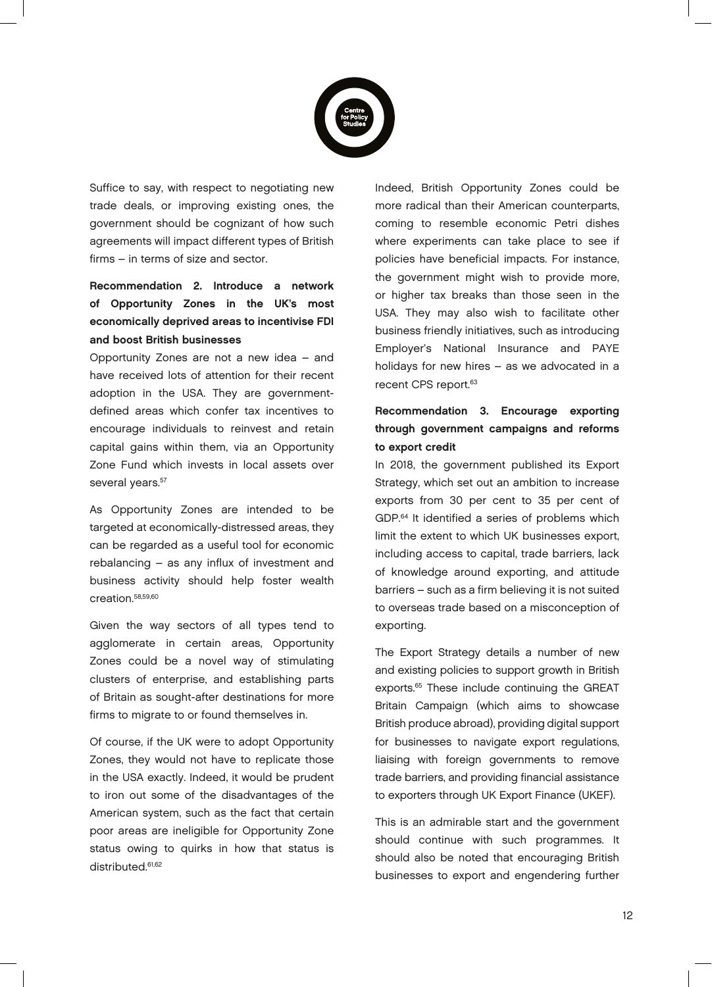

Suffice to say, with respect to negotiating new trade deals, or improving existing ones, the government should be cognizant of how such agreements will impact different types of British firms – in terms of size and sector.

# Recommendation 2. Introduce a network of Opportunity Zones in the UK's most economically deprived areas to incentivise FDI and boost British businesses

Opportunity Zones are not a new idea – and have received lots of attention for their recent adoption in the USA. They are governmentdefined areas which confer tax incentives to encourage individuals to reinvest and retain capital gains within them, via an Opportunity Zone Fund which invests in local assets over several years.<sup>57</sup>

As Opportunity Zones are intended to be targeted at economically-distressed areas, they can be regarded as a useful tool for economic rebalancing – as any influx of investment and business activity should help foster wealth creation.58,59,60

Given the way sectors of all types tend to agglomerate in certain areas, Opportunity Zones could be a novel way of stimulating clusters of enterprise, and establishing parts of Britain as sought-after destinations for more firms to migrate to or found themselves in.

Of course, if the UK were to adopt Opportunity Zones, they would not have to replicate those in the USA exactly. Indeed, it would be prudent to iron out some of the disadvantages of the American system, such as the fact that certain poor areas are ineligible for Opportunity Zone status owing to quirks in how that status is distributed.<sup>61,62</sup>

Indeed, British Opportunity Zones could be more radical than their American counterparts, coming to resemble economic Petri dishes where experiments can take place to see if policies have beneficial impacts. For instance, the government might wish to provide more, or higher tax breaks than those seen in the USA. They may also wish to facilitate other business friendly initiatives, such as introducing Employer's National Insurance and PAYE holidays for new hires – as we advocated in a recent CPS report.<sup>63</sup>

# Recommendation 3. Encourage exporting through government campaigns and reforms to export credit

In 2018, the government published its Export Strategy, which set out an ambition to increase exports from 30 per cent to 35 per cent of GDP.<sup>64</sup> It identified a series of problems which limit the extent to which UK businesses export, including access to capital, trade barriers, lack of knowledge around exporting, and attitude barriers – such as a firm believing it is not suited to overseas trade based on a misconception of exporting.

The Export Strategy details a number of new and existing policies to support growth in British exports.<sup>65</sup> These include continuing the GREAT Britain Campaign (which aims to showcase British produce abroad), providing digital support for businesses to navigate export regulations, liaising with foreign governments to remove trade barriers, and providing financial assistance to exporters through UK Export Finance (UKEF).

This is an admirable start and the government should continue with such programmes. It should also be noted that encouraging British businesses to export and engendering further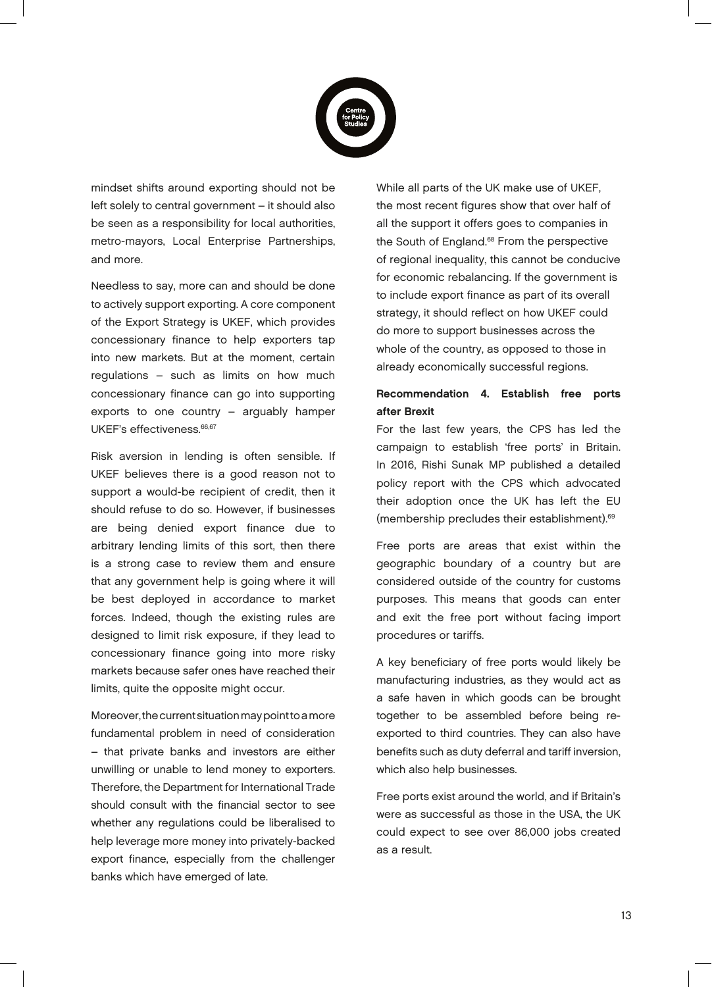

mindset shifts around exporting should not be left solely to central government – it should also be seen as a responsibility for local authorities, metro-mayors, Local Enterprise Partnerships, and more.

Needless to say, more can and should be done to actively support exporting. A core component of the Export Strategy is UKEF, which provides concessionary finance to help exporters tap into new markets. But at the moment, certain regulations – such as limits on how much concessionary finance can go into supporting exports to one country – arguably hamper UKEF's effectiveness.<sup>66,67</sup>

Risk aversion in lending is often sensible. If UKEF believes there is a good reason not to support a would-be recipient of credit, then it should refuse to do so. However, if businesses are being denied export finance due to arbitrary lending limits of this sort, then there is a strong case to review them and ensure that any government help is going where it will be best deployed in accordance to market forces. Indeed, though the existing rules are designed to limit risk exposure, if they lead to concessionary finance going into more risky markets because safer ones have reached their limits, quite the opposite might occur.

Moreover, the current situation may point to a more fundamental problem in need of consideration – that private banks and investors are either unwilling or unable to lend money to exporters. Therefore, the Department for International Trade should consult with the financial sector to see whether any regulations could be liberalised to help leverage more money into privately-backed export finance, especially from the challenger banks which have emerged of late.

While all parts of the UK make use of UKEF, the most recent figures show that over half of all the support it offers goes to companies in the South of England.<sup>68</sup> From the perspective of regional inequality, this cannot be conducive for economic rebalancing. If the government is to include export finance as part of its overall strategy, it should reflect on how UKEF could do more to support businesses across the whole of the country, as opposed to those in already economically successful regions.

# Recommendation 4. Establish free ports after Brexit

For the last few years, the CPS has led the campaign to establish 'free ports' in Britain. In 2016, Rishi Sunak MP published a detailed policy report with the CPS which advocated their adoption once the UK has left the EU (membership precludes their establishment).69

Free ports are areas that exist within the geographic boundary of a country but are considered outside of the country for customs purposes. This means that goods can enter and exit the free port without facing import procedures or tariffs.

A key beneficiary of free ports would likely be manufacturing industries, as they would act as a safe haven in which goods can be brought together to be assembled before being reexported to third countries. They can also have benefits such as duty deferral and tariff inversion, which also help businesses.

Free ports exist around the world, and if Britain's were as successful as those in the USA, the UK could expect to see over 86,000 jobs created as a result.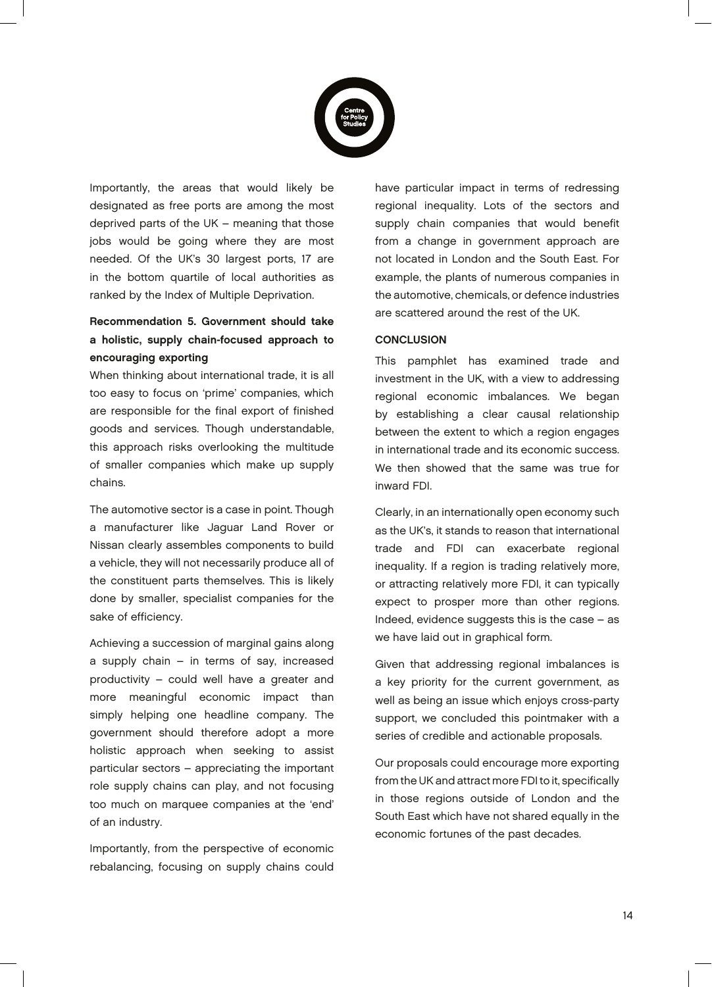

Importantly, the areas that would likely be designated as free ports are among the most deprived parts of the UK – meaning that those jobs would be going where they are most needed. Of the UK's 30 largest ports, 17 are in the bottom quartile of local authorities as ranked by the Index of Multiple Deprivation.

# Recommendation 5. Government should take a holistic, supply chain-focused approach to encouraging exporting

When thinking about international trade, it is all too easy to focus on 'prime' companies, which are responsible for the final export of finished goods and services. Though understandable, this approach risks overlooking the multitude of smaller companies which make up supply chains.

The automotive sector is a case in point. Though a manufacturer like Jaguar Land Rover or Nissan clearly assembles components to build a vehicle, they will not necessarily produce all of the constituent parts themselves. This is likely done by smaller, specialist companies for the sake of efficiency.

Achieving a succession of marginal gains along a supply chain – in terms of say, increased productivity – could well have a greater and more meaningful economic impact than simply helping one headline company. The government should therefore adopt a more holistic approach when seeking to assist particular sectors – appreciating the important role supply chains can play, and not focusing too much on marquee companies at the 'end' of an industry.

Importantly, from the perspective of economic rebalancing, focusing on supply chains could have particular impact in terms of redressing regional inequality. Lots of the sectors and supply chain companies that would benefit from a change in government approach are not located in London and the South East. For example, the plants of numerous companies in the automotive, chemicals, or defence industries are scattered around the rest of the UK.

#### **CONCLUSION**

This pamphlet has examined trade and investment in the UK, with a view to addressing regional economic imbalances. We began by establishing a clear causal relationship between the extent to which a region engages in international trade and its economic success. We then showed that the same was true for inward FDI.

Clearly, in an internationally open economy such as the UK's, it stands to reason that international trade and FDI can exacerbate regional inequality. If a region is trading relatively more, or attracting relatively more FDI, it can typically expect to prosper more than other regions. Indeed, evidence suggests this is the case – as we have laid out in graphical form.

Given that addressing regional imbalances is a key priority for the current government, as well as being an issue which enjoys cross-party support, we concluded this pointmaker with a series of credible and actionable proposals.

Our proposals could encourage more exporting from the UK and attract more FDI to it, specifically in those regions outside of London and the South East which have not shared equally in the economic fortunes of the past decades.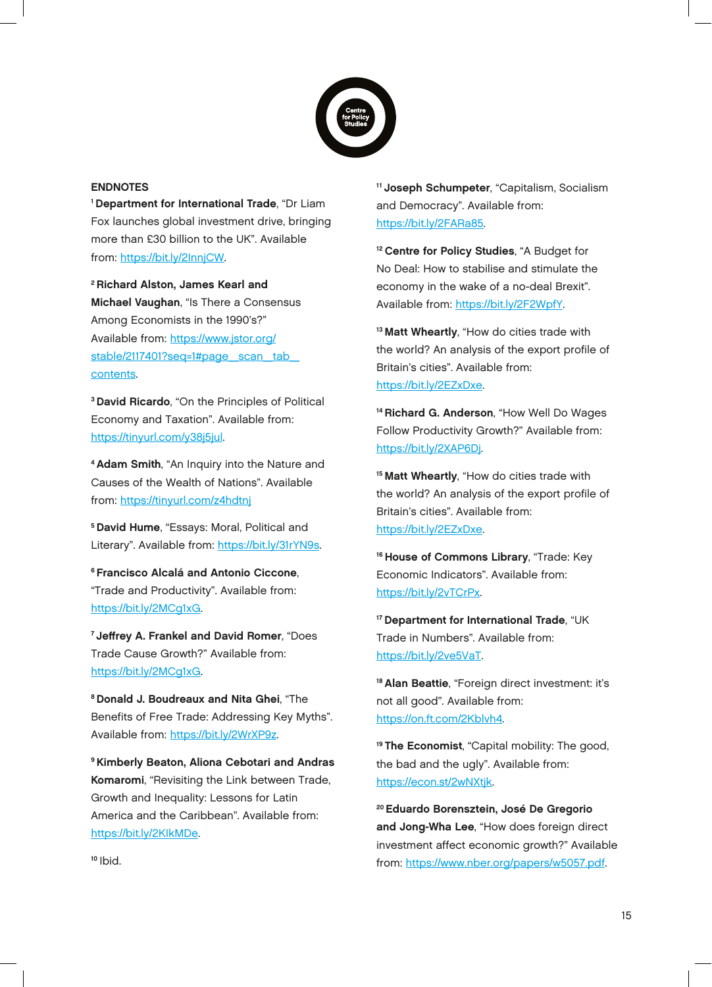

#### ENDNOTES

1 Department for International Trade, "Dr Liam Fox launches global investment drive, bringing more than £30 billion to the UK". Available from: https://bit.ly/2InnjCW.

2 Richard Alston, James Kearl and Michael Vaughan, "Is There a Consensus Among Economists in the 1990's?" Available from: https://www.jstor.org/ stable/2117401?seq=1#page\_scan\_tab contents.

3 David Ricardo, "On the Principles of Political Economy and Taxation". Available from: https://tinyurl.com/y38j5jul.

4 Adam Smith, "An Inquiry into the Nature and Causes of the Wealth of Nations". Available from: https://tinyurl.com/z4hdtnj

5 David Hume, "Essays: Moral, Political and Literary". Available from: https://bit.ly/31rYN9s.

6 Francisco Alcalá and Antonio Ciccone, "Trade and Productivity". Available from: https://bit.ly/2MCg1xG.

7 Jeffrey A. Frankel and David Romer, "Does Trade Cause Growth?" Available from: https://bit.ly/2MCg1xG.

8 Donald J. Boudreaux and Nita Ghei, "The Benefits of Free Trade: Addressing Key Myths". Available from: https://bit.ly/2WrXP9z.

9 Kimberly Beaton, Aliona Cebotari and Andras Komaromi, "Revisiting the Link between Trade, Growth and Inequality: Lessons for Latin America and the Caribbean". Available from: https://bit.ly/2KIkMDe.

11 Joseph Schumpeter, "Capitalism, Socialism and Democracy". Available from: https://bit.ly/2FARa85.

<sup>12</sup> Centre for Policy Studies, "A Budget for No Deal: How to stabilise and stimulate the economy in the wake of a no-deal Brexit". Available from: https://bit.ly/2F2WpfY.

<sup>13</sup> Matt Wheartly, "How do cities trade with the world? An analysis of the export profile of Britain's cities". Available from: https://bit.ly/2EZxDxe.

<sup>14</sup> Richard G. Anderson, "How Well Do Wages Follow Productivity Growth?" Available from: https://bit.ly/2XAP6Dj.

<sup>15</sup> Matt Wheartly, "How do cities trade with the world? An analysis of the export profile of Britain's cities". Available from: https://bit.ly/2EZxDxe.

<sup>16</sup> House of Commons Library, "Trade: Key Economic Indicators". Available from: https://bit.ly/2vTCrPx.

17 Department for International Trade, "UK Trade in Numbers". Available from: https://bit.ly/2ve5VaT.

<sup>18</sup> Alan Beattie, "Foreign direct investment: it's not all good". Available from: https://on.ft.com/2Kblvh4.

<sup>19</sup> The Economist, "Capital mobility: The good, the bad and the ugly". Available from: https://econ.st/2wNXtjk.

20 Eduardo Borensztein, José De Gregorio and Jong-Wha Lee, "How does foreign direct investment affect economic growth?" Available from: https://www.nber.org/papers/w5057.pdf.

 $10$  Ibid.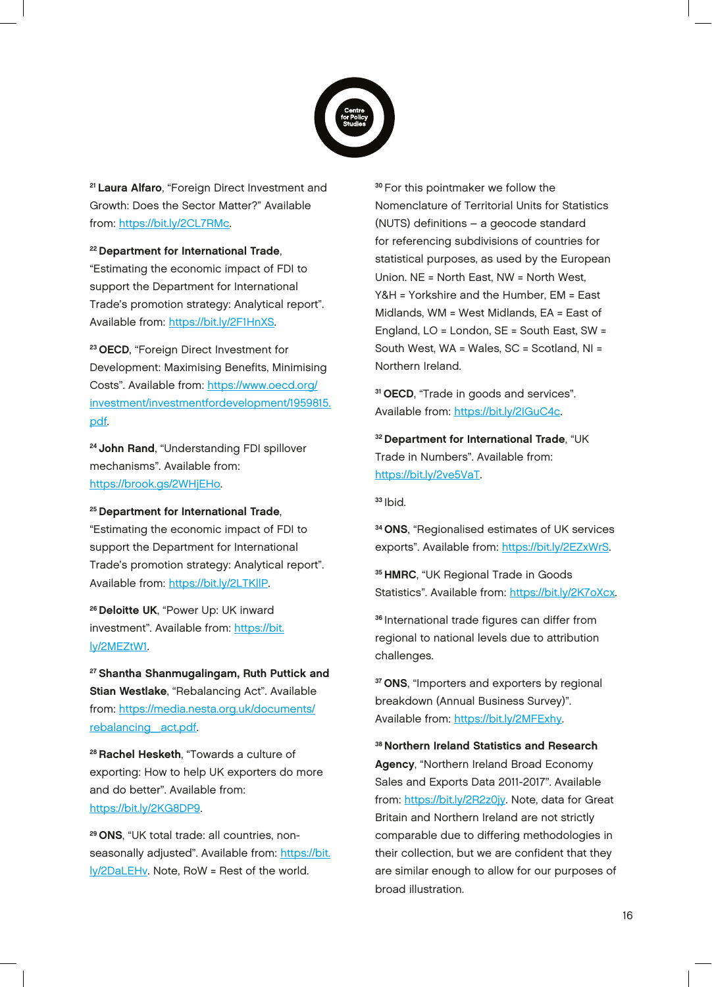

<sup>21</sup> Laura Alfaro, "Foreign Direct Investment and Growth: Does the Sector Matter?" Available from: https://bit.ly/2CL7RMc.

#### 22 Department for International Trade,

"Estimating the economic impact of FDI to support the Department for International Trade's promotion strategy: Analytical report". Available from: https://bit.ly/2F1HnXS.

23 OECD, "Foreign Direct Investment for Development: Maximising Benefits, Minimising Costs". Available from: https://www.oecd.org/ investment/investmentfordevelopment/1959815. pdf.

<sup>24</sup> John Rand, "Understanding FDI spillover mechanisms". Available from: https://brook.gs/2WHjEHo.

#### <sup>25</sup> Department for International Trade,

"Estimating the economic impact of FDI to support the Department for International Trade's promotion strategy: Analytical report". Available from: https://bit.ly/2LTKllP.

<sup>26</sup> Deloitte UK, "Power Up: UK inward investment". Available from: https://bit. ly/2MEZtW1.

27 Shantha Shanmugalingam, Ruth Puttick and Stian Westlake, "Rebalancing Act". Available from: https://media.nesta.org.uk/documents/ rebalancing\_act.pdf.

28 Rachel Hesketh, "Towards a culture of exporting: How to help UK exporters do more and do better". Available from: https://bit.ly/2KG8DP9.

29 ONS, "UK total trade: all countries, nonseasonally adjusted". Available from: https://bit. ly/2DaLEHv. Note, RoW = Rest of the world.

<sup>30</sup>For this pointmaker we follow the Nomenclature of Territorial Units for Statistics (NUTS) definitions – a geocode standard for referencing subdivisions of countries for statistical purposes, as used by the European Union. NE = North East, NW = North West, Y&H = Yorkshire and the Humber, EM = East Midlands, WM = West Midlands, EA = East of England, LO = London, SE = South East, SW = South West, WA = Wales, SC = Scotland, NI = Northern Ireland.

<sup>31</sup> OECD, "Trade in goods and services". Available from: https://bit.ly/2IGuC4c.

32 Department for International Trade, "UK Trade in Numbers". Available from: https://bit.ly/2ve5VaT.

 $33$  Ibid.

34 ONS, "Regionalised estimates of UK services exports". Available from: https://bit.ly/2EZxWrS.

35 HMRC, "UK Regional Trade in Goods Statistics". Available from: https://bit.ly/2K7oXcx.

<sup>36</sup> International trade figures can differ from regional to national levels due to attribution challenges.

<sup>37</sup> ONS, "Importers and exporters by regional breakdown (Annual Business Survey)". Available from: https://bit.ly/2MFExhy.

38 Northern Ireland Statistics and Research Agency, "Northern Ireland Broad Economy Sales and Exports Data 2011-2017". Available from: https://bit.ly/2R2z0jy. Note, data for Great Britain and Northern Ireland are not strictly comparable due to differing methodologies in their collection, but we are confident that they are similar enough to allow for our purposes of broad illustration.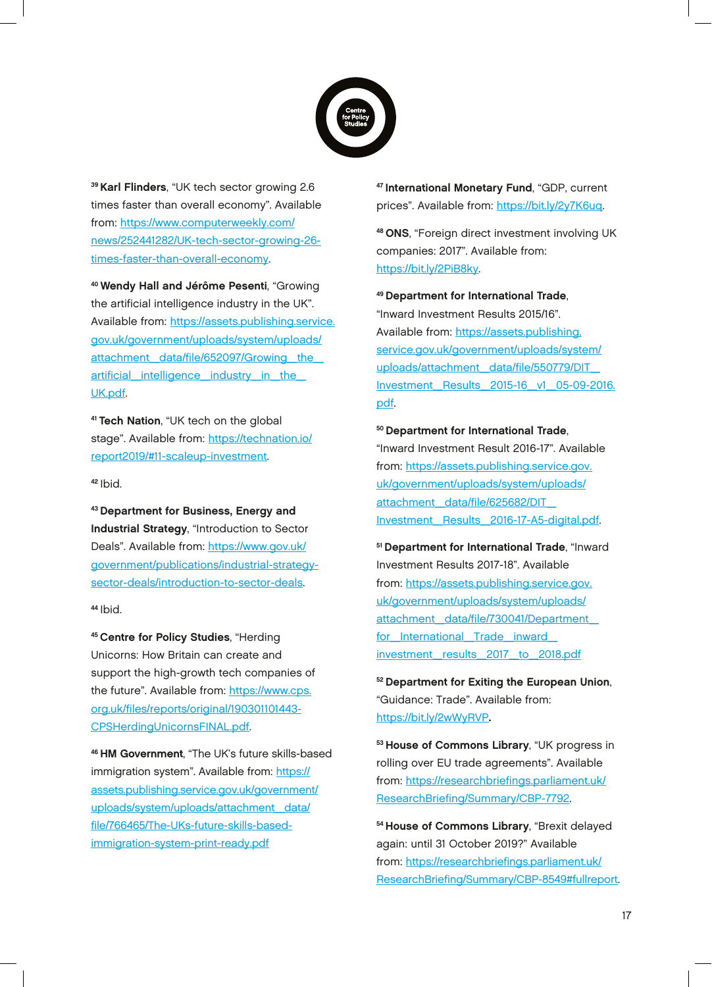

39 Karl Flinders, "UK tech sector growing 2.6 times faster than overall economy". Available from: https://www.computerweekly.com/ news/252441282/UK-tech-sector-growing-26 times-faster-than-overall-economy.

40 Wendy Hall and Jérôme Pesenti, "Growing the artificial intelligence industry in the UK". Available from: https://assets.publishing.service. gov.uk/government/uploads/system/uploads/ attachment data/file/652097/Growing the artificial\_intelligence\_industry\_in\_the\_ UK.pdf.

41 Tech Nation, "UK tech on the global stage". Available from: https://technation.io/ report2019/#11-scaleup-investment.

 $42$  Ibid.

43 Department for Business, Energy and Industrial Strategy, "Introduction to Sector Deals". Available from: https://www.gov.uk/ government/publications/industrial-strategysector-deals/introduction-to-sector-deals.

 $44$  Ibid.

45 Centre for Policy Studies, "Herding Unicorns: How Britain can create and support the high-growth tech companies of the future". Available from: https://www.cps. org.uk/files/reports/original/190301101443- CPSHerdingUnicornsFINAL.pdf.

46 HM Government, "The UK's future skills-based immigration system". Available from: https:// assets.publishing.service.gov.uk/government/ uploads/system/uploads/attachment\_data/ file/766465/The-UKs-future-skills-basedimmigration-system-print-ready.pdf

47 International Monetary Fund, "GDP, current prices". Available from: https://bit.ly/2y7K6uq.

48 ONS, "Foreign direct investment involving UK companies: 2017". Available from: https://bit.ly/2PiB8ky.

49 Department for International Trade,

"Inward Investment Results 2015/16". Available from: https://assets.publishing. service.gov.uk/government/uploads/system/ uploads/attachment\_data/file/550779/DIT\_ Investment\_Results\_2015-16\_v1\_05-09-2016. pdf.

### 50 Department for International Trade,

"Inward Investment Result 2016-17". Available from: https://assets.publishing.service.gov. uk/government/uploads/system/uploads/ attachment\_data/file/625682/DIT\_ Investment\_Results\_2016-17-A5-digital.pdf.

51 Department for International Trade, "Inward Investment Results 2017-18". Available from: https://assets.publishing.service.gov. uk/government/uploads/system/uploads/ attachment\_data/file/730041/Department\_ for International Trade inward investment\_results\_2017\_to\_2018.pdf

52 Department for Exiting the European Union, "Guidance: Trade". Available from: https://bit.ly/2wWyRVP.

53 House of Commons Library, "UK progress in rolling over EU trade agreements". Available from: https://researchbriefings.parliament.uk/ ResearchBriefing/Summary/CBP-7792.

54 House of Commons Library, "Brexit delayed again: until 31 October 2019?" Available from: https://researchbriefings.parliament.uk/ ResearchBriefing/Summary/CBP-8549#fullreport.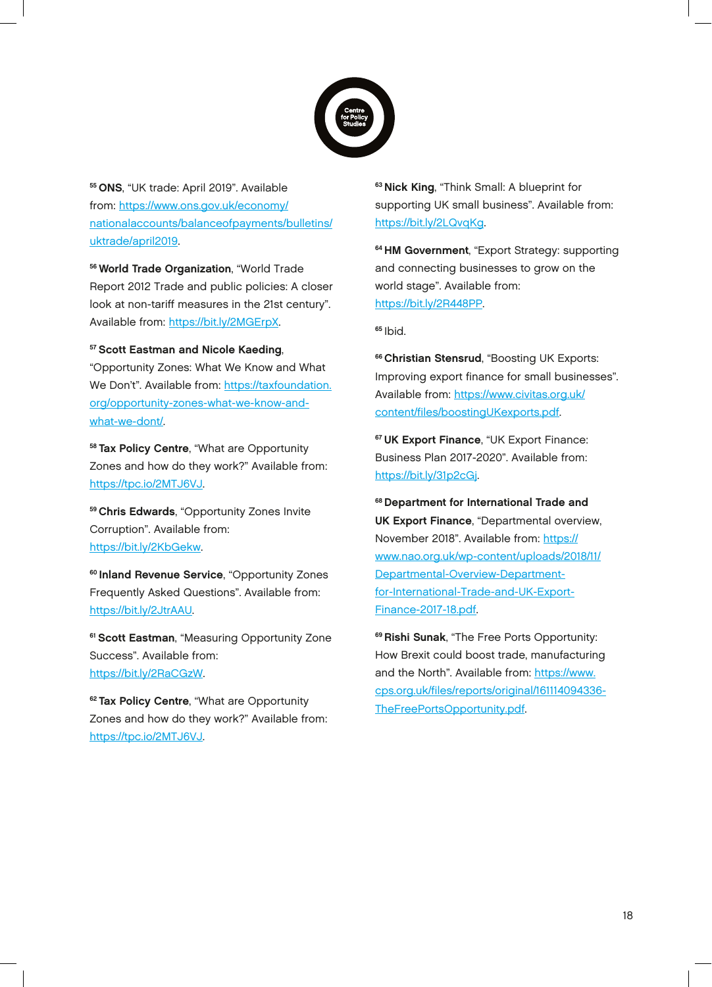

55 ONS, "UK trade: April 2019". Available from: https://www.ons.gov.uk/economy/ nationalaccounts/balanceofpayments/bulletins/ uktrade/april2019.

56 World Trade Organization, "World Trade Report 2012 Trade and public policies: A closer look at non-tariff measures in the 21st century". Available from: https://bit.ly/2MGErpX.

57 Scott Eastman and Nicole Kaeding, "Opportunity Zones: What We Know and What We Don't". Available from: https://taxfoundation. org/opportunity-zones-what-we-know-andwhat-we-dont/.

58 Tax Policy Centre, "What are Opportunity Zones and how do they work?" Available from: https://tpc.io/2MTJ6VJ.

59 Chris Edwards, "Opportunity Zones Invite Corruption". Available from: https://bit.ly/2KbGekw.

<sup>60</sup> Inland Revenue Service, "Opportunity Zones Frequently Asked Questions". Available from: https://bit.ly/2JtrAAU.

<sup>61</sup> Scott Eastman, "Measuring Opportunity Zone Success". Available from: https://bit.ly/2RaCGzW.

<sup>62</sup> Tax Policy Centre, "What are Opportunity Zones and how do they work?" Available from: https://tpc.io/2MTJ6VJ.

<sup>63</sup> Nick King, "Think Small: A blueprint for supporting UK small business". Available from: https://bit.ly/2LQvqKg.

64 HM Government, "Export Strategy: supporting and connecting businesses to grow on the world stage". Available from: https://bit.ly/2R448PP.

 $65$  Ibid.

**66 Christian Stensrud, "Boosting UK Exports:** Improving export finance for small businesses". Available from: https://www.civitas.org.uk/ content/files/boostingUKexports.pdf.

<sup>67</sup> UK Export Finance, "UK Export Finance: Business Plan 2017-2020". Available from: https://bit.ly/31p2cGj.

68 Department for International Trade and UK Export Finance, "Departmental overview, November 2018". Available from: https:// www.nao.org.uk/wp-content/uploads/2018/11/ Departmental-Overview-Departmentfor-International-Trade-and-UK-Export-Finance-2017-18.pdf.

<sup>69</sup> Rishi Sunak, "The Free Ports Opportunity: How Brexit could boost trade, manufacturing and the North". Available from: https://www. cps.org.uk/files/reports/original/161114094336- TheFreePortsOpportunity.pdf.